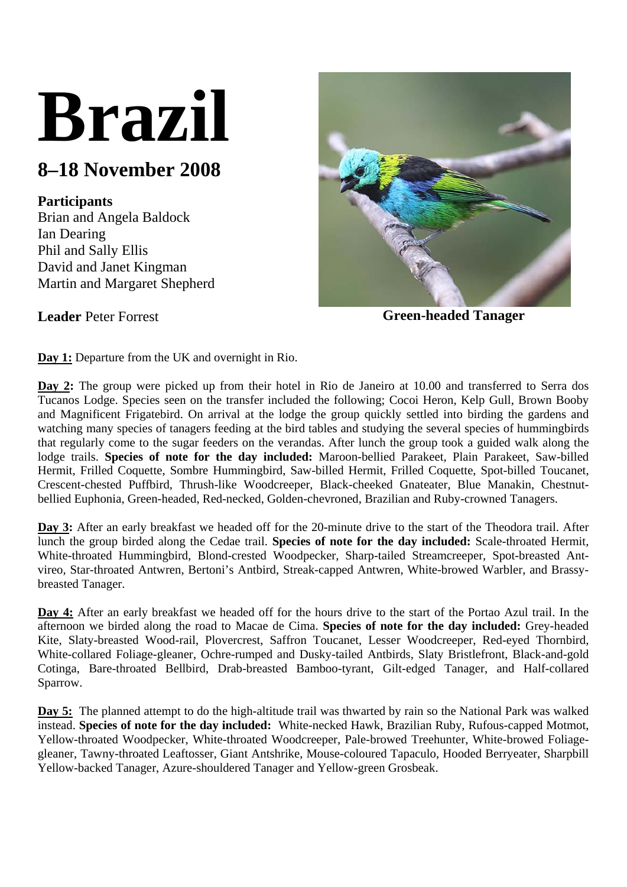# **Brazil**

# **8–18 November 2008**

## **Participants**

Brian and Angela Baldock Ian Dearing Phil and Sally Ellis David and Janet Kingman Martin and Margaret Shepherd



**Leader** Peter Forrest **Green-headed Tanager** 

**Day 1:** Departure from the UK and overnight in Rio.

**Day 2:** The group were picked up from their hotel in Rio de Janeiro at 10.00 and transferred to Serra dos Tucanos Lodge. Species seen on the transfer included the following; Cocoi Heron, Kelp Gull, Brown Booby and Magnificent Frigatebird. On arrival at the lodge the group quickly settled into birding the gardens and watching many species of tanagers feeding at the bird tables and studying the several species of hummingbirds that regularly come to the sugar feeders on the verandas. After lunch the group took a guided walk along the lodge trails. **Species of note for the day included:** Maroon-bellied Parakeet, Plain Parakeet, Saw-billed Hermit, Frilled Coquette, Sombre Hummingbird, Saw-billed Hermit, Frilled Coquette, Spot-billed Toucanet, Crescent-chested Puffbird, Thrush-like Woodcreeper, Black-cheeked Gnateater, Blue Manakin, Chestnutbellied Euphonia, Green-headed, Red-necked, Golden-chevroned, Brazilian and Ruby-crowned Tanagers.

Day 3: After an early breakfast we headed off for the 20-minute drive to the start of the Theodora trail. After lunch the group birded along the Cedae trail. **Species of note for the day included:** Scale-throated Hermit, White-throated Hummingbird, Blond-crested Woodpecker, Sharp-tailed Streamcreeper, Spot-breasted Antvireo, Star-throated Antwren, Bertoni's Antbird, Streak-capped Antwren, White-browed Warbler, and Brassybreasted Tanager.

**Day 4:** After an early breakfast we headed off for the hours drive to the start of the Portao Azul trail. In the afternoon we birded along the road to Macae de Cima. **Species of note for the day included:** Grey-headed Kite, Slaty-breasted Wood-rail, Plovercrest, Saffron Toucanet, Lesser Woodcreeper, Red-eyed Thornbird, White-collared Foliage-gleaner, Ochre-rumped and Dusky-tailed Antbirds, Slaty Bristlefront, Black-and-gold Cotinga, Bare-throated Bellbird, Drab-breasted Bamboo-tyrant, Gilt-edged Tanager, and Half-collared Sparrow.

**Day 5:** The planned attempt to do the high-altitude trail was thwarted by rain so the National Park was walked instead. **Species of note for the day included:** White-necked Hawk, Brazilian Ruby, Rufous-capped Motmot, Yellow-throated Woodpecker, White-throated Woodcreeper, Pale-browed Treehunter, White-browed Foliagegleaner, Tawny-throated Leaftosser, Giant Antshrike, Mouse-coloured Tapaculo, Hooded Berryeater, Sharpbill Yellow-backed Tanager, Azure-shouldered Tanager and Yellow-green Grosbeak.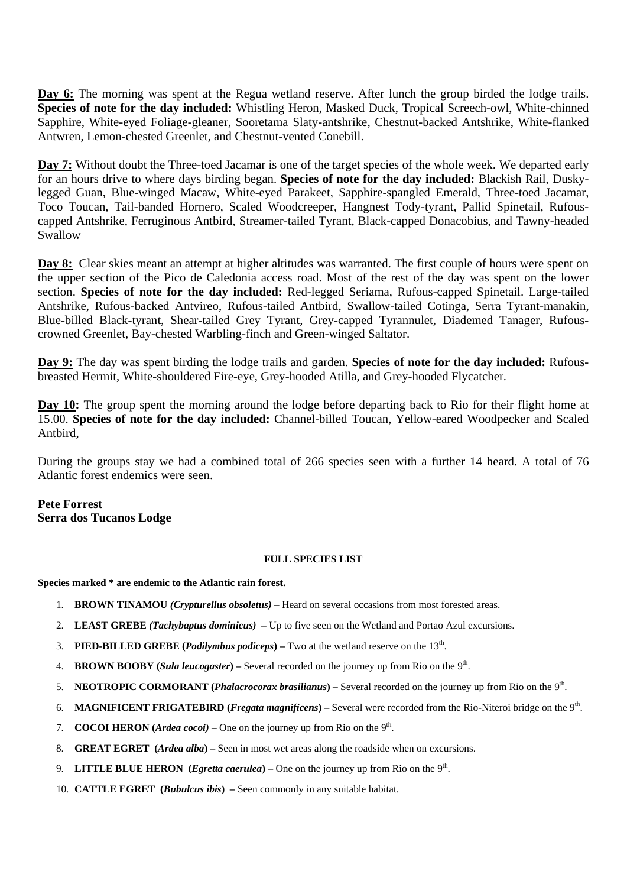**Day 6:** The morning was spent at the Regua wetland reserve. After lunch the group birded the lodge trails. **Species of note for the day included:** Whistling Heron, Masked Duck, Tropical Screech-owl, White-chinned Sapphire, White-eyed Foliage-gleaner, Sooretama Slaty-antshrike, Chestnut-backed Antshrike, White-flanked Antwren, Lemon-chested Greenlet, and Chestnut-vented Conebill.

**Day 7:** Without doubt the Three-toed Jacamar is one of the target species of the whole week. We departed early for an hours drive to where days birding began. **Species of note for the day included:** Blackish Rail, Duskylegged Guan, Blue-winged Macaw, White-eyed Parakeet, Sapphire-spangled Emerald, Three-toed Jacamar, Toco Toucan, Tail-banded Hornero, Scaled Woodcreeper, Hangnest Tody-tyrant, Pallid Spinetail, Rufouscapped Antshrike, Ferruginous Antbird, Streamer-tailed Tyrant, Black-capped Donacobius, and Tawny-headed Swallow

**Day 8:** Clear skies meant an attempt at higher altitudes was warranted. The first couple of hours were spent on the upper section of the Pico de Caledonia access road. Most of the rest of the day was spent on the lower section. **Species of note for the day included:** Red-legged Seriama, Rufous-capped Spinetail. Large-tailed Antshrike, Rufous-backed Antvireo, Rufous-tailed Antbird, Swallow-tailed Cotinga, Serra Tyrant-manakin, Blue-billed Black-tyrant, Shear-tailed Grey Tyrant, Grey-capped Tyrannulet, Diademed Tanager, Rufouscrowned Greenlet, Bay-chested Warbling-finch and Green-winged Saltator.

**Day 9:** The day was spent birding the lodge trails and garden. **Species of note for the day included:** Rufousbreasted Hermit, White-shouldered Fire-eye, Grey-hooded Atilla, and Grey-hooded Flycatcher.

**Day 10:** The group spent the morning around the lodge before departing back to Rio for their flight home at 15.00. **Species of note for the day included:** Channel-billed Toucan, Yellow-eared Woodpecker and Scaled Antbird,

During the groups stay we had a combined total of 266 species seen with a further 14 heard. A total of 76 Atlantic forest endemics were seen.

**Pete Forrest Serra dos Tucanos Lodge** 

### **FULL SPECIES LIST**

**Species marked \* are endemic to the Atlantic rain forest.** 

- 1. **BROWN TINAMOU** *(Crypturellus obsoletus)* Heard on several occasions from most forested areas.
- 2. **LEAST GREBE** *(Tachybaptus dominicus)* Up to five seen on the Wetland and Portao Azul excursions.
- 3. **PIED-BILLED GREBE (***Podilymbus podiceps*) Two at the wetland reserve on the  $13<sup>th</sup>$ .
- 4. **BROWN BOOBY (***Sula leucogaster***)** Several recorded on the journey up from Rio on the 9th.
- 5. **NEOTROPIC CORMORANT (***Phalacrocorax brasilianus***)** Several recorded on the journey up from Rio on the 9th.
- 6. **MAGNIFICENT FRIGATEBIRD (***Fregata magnificens***)** *–* Several were recorded from the Rio-Niteroi bridge on the 9th.
- 7. **COCOI HERON** (*Ardea cocoi*) One on the journey up from Rio on the  $9<sup>th</sup>$ .
- 8. **GREAT EGRET (***Ardea alba***)** Seen in most wet areas along the roadside when on excursions.
- 9. **LITTLE BLUE HERON** (*Egretta caerulea*) One on the journey up from Rio on the  $9<sup>th</sup>$ .
- 10. **CATTLE EGRET (***Bubulcus ibis***)** Seen commonly in any suitable habitat.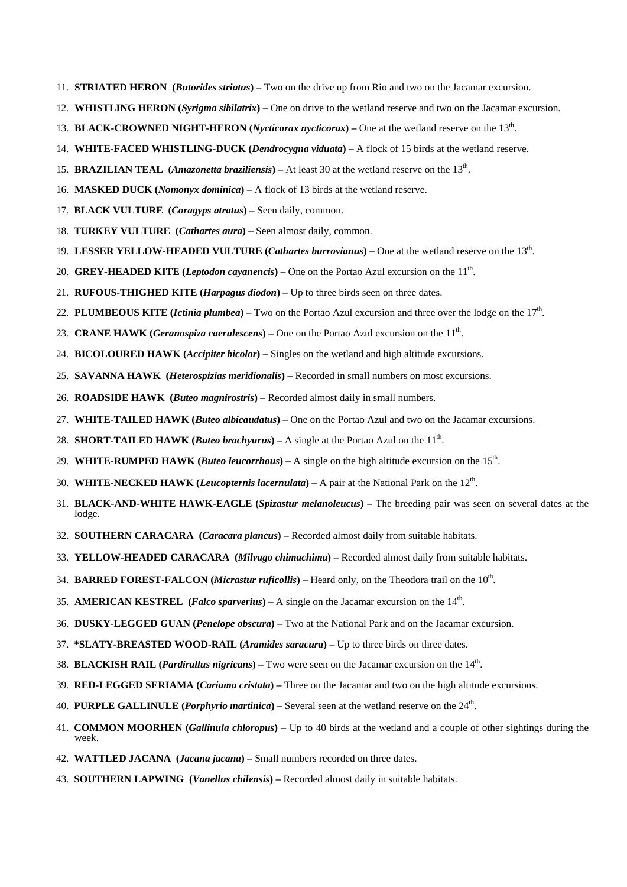- 11. **STRIATED HERON (***Butorides striatus***)** Two on the drive up from Rio and two on the Jacamar excursion.
- 12. **WHISTLING HERON (***Syrigma sibilatrix***)** One on drive to the wetland reserve and two on the Jacamar excursion.
- 13. **BLACK-CROWNED NIGHT-HERON (***Nycticorax nycticorax***)** One at the wetland reserve on the 13th.
- 14. **WHITE-FACED WHISTLING-DUCK (***Dendrocygna viduata***)** A flock of 15 birds at the wetland reserve.
- 15. **BRAZILIAN TEAL (***Amazonetta braziliensis***)** At least 30 at the wetland reserve on the 13th.
- 16. **MASKED DUCK (***Nomonyx dominica***)** A flock of 13 birds at the wetland reserve.
- 17. **BLACK VULTURE (***Coragyps atratus***)** Seen daily, common.
- 18. **TURKEY VULTURE (***Cathartes aura***)** Seen almost daily, common.
- 19. **LESSER YELLOW-HEADED VULTURE (***Cathartes burrovianus***)** One at the wetland reserve on the 13th.
- 20. **GREY-HEADED KITE** (*Leptodon cayanencis*) One on the Portao Azul excursion on the 11<sup>th</sup>.
- 21. **RUFOUS-THIGHED KITE (***Harpagus diodon***)** Up to three birds seen on three dates.
- 22. **PLUMBEOUS KITE** (*Ictinia plumbea*) Two on the Portao Azul excursion and three over the lodge on the  $17<sup>th</sup>$ .
- 23. **CRANE HAWK** (*Geranospiza caerulescens*) One on the Portao Azul excursion on the 11<sup>th</sup>.
- 24. **BICOLOURED HAWK (***Accipiter bicolor***)** Singles on the wetland and high altitude excursions.
- 25. **SAVANNA HAWK (***Heterospizias meridionalis***)**Recorded in small numbers on most excursions.
- 26. **ROADSIDE HAWK (***Buteo magnirostris***)** Recorded almost daily in small numbers.
- 27. **WHITE-TAILED HAWK (***Buteo albicaudatus***)** One on the Portao Azul and two on the Jacamar excursions.
- 28. **SHORT-TAILED HAWK (***Buteo brachyurus***)** A single at the Portao Azul on the  $11<sup>th</sup>$ .
- 29. **WHITE-RUMPED HAWK** (*Buteo leucorrhous*) A single on the high altitude excursion on the 15<sup>th</sup>.
- 30. **WHITE-NECKED HAWK (***Leucopternis lacernulata***)** A pair at the National Park on the 12th.
- 31. **BLACK-AND-WHITE HAWK-EAGLE (***Spizastur melanoleucus***)** The breeding pair was seen on several dates at the lodge.
- 32. **SOUTHERN CARACARA (***Caracara plancus***)** Recorded almost daily from suitable habitats.
- 33. **YELLOW-HEADED CARACARA (***Milvago chimachima***)** Recorded almost daily from suitable habitats.
- 34. **BARRED FOREST-FALCON (***Micrastur ruficollis***)** Heard only, on the Theodora trail on the 10th.
- 35. **AMERICAN KESTREL (***Falco sparverius***)** A single on the Jacamar excursion on the 14th.
- 36. **DUSKY-LEGGED GUAN (***Penelope obscura***)** Two at the National Park and on the Jacamar excursion.
- 37. **\*SLATY-BREASTED WOOD-RAIL (***Aramides saracura***)** Up to three birds on three dates.
- 38. **BLACKISH RAIL (***Pardirallus nigricans***)** Two were seen on the Jacamar excursion on the 14th.
- 39. **RED-LEGGED SERIAMA (***Cariama cristata***)** Three on the Jacamar and two on the high altitude excursions.
- 40. **PURPLE GALLINULE (***Porphyrio martinica***)** Several seen at the wetland reserve on the 24th.
- 41. **COMMON MOORHEN (***Gallinula chloropus***)** Up to 40 birds at the wetland and a couple of other sightings during the week.
- 42. **WATTLED JACANA (***Jacana jacana***)** Small numbers recorded on three dates.
- 43. **SOUTHERN LAPWING (***Vanellus chilensis***)** Recorded almost daily in suitable habitats.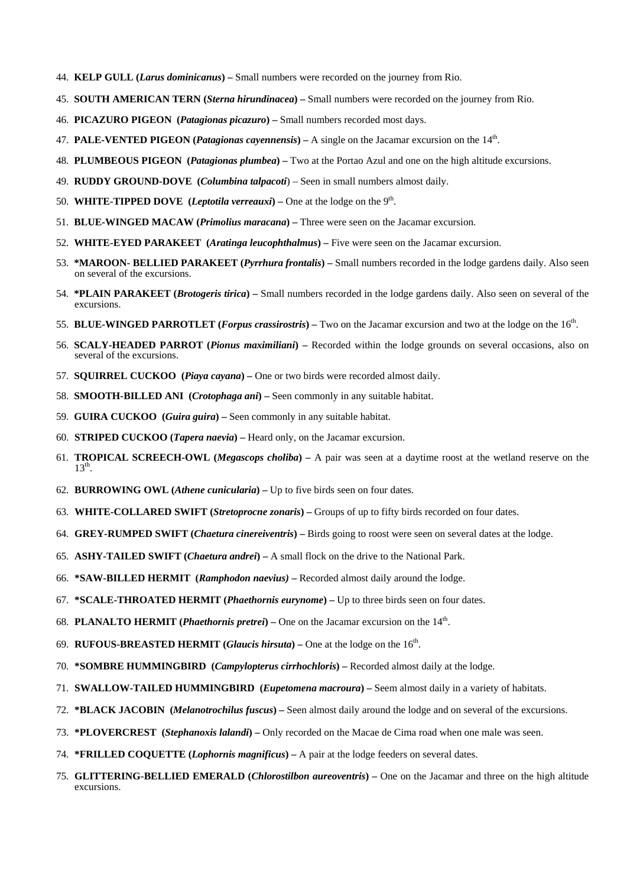- 44. **KELP GULL (***Larus dominicanus***)** Small numbers were recorded on the journey from Rio.
- 45. **SOUTH AMERICAN TERN (***Sterna hirundinacea***)** Small numbers were recorded on the journey from Rio.
- 46. **PICAZURO PIGEON (***Patagionas picazuro***)** Small numbers recorded most days.
- 47. **PALE-VENTED PIGEON (***Patagionas cayennensis***)** A single on the Jacamar excursion on the 14th.
- 48. **PLUMBEOUS PIGEON (***Patagionas plumbea***)** Two at the Portao Azul and one on the high altitude excursions.
- 49. **RUDDY GROUND-DOVE (***Columbina talpacoti*) Seen in small numbers almost daily.
- 50. **WHITE-TIPPED DOVE** (*Leptotila verreauxi*) One at the lodge on the  $9<sup>th</sup>$ .
- 51. **BLUE-WINGED MACAW (***Primolius maracana***)** Three were seen on the Jacamar excursion.
- 52. **WHITE-EYED PARAKEET (***Aratinga leucophthalmus***)** Five were seen on the Jacamar excursion.
- 53. **\*MAROON- BELLIED PARAKEET (***Pyrrhura frontalis***)** Small numbers recorded in the lodge gardens daily. Also seen on several of the excursions.
- 54. **\*PLAIN PARAKEET (***Brotogeris tirica***)** Small numbers recorded in the lodge gardens daily. Also seen on several of the excursions.
- 55. **BLUE-WINGED PARROTLET (***Forpus crassirostris***)** Two on the Jacamar excursion and two at the lodge on the 16th.
- 56. **SCALY-HEADED PARROT (***Pionus maximiliani***)** Recorded within the lodge grounds on several occasions, also on several of the excursions.
- 57. **SQUIRREL CUCKOO (***Piaya cayana***)** One or two birds were recorded almost daily.
- 58. **SMOOTH-BILLED ANI (***Crotophaga ani***)** Seen commonly in any suitable habitat.
- 59. **GUIRA CUCKOO (***Guira guira***)** Seen commonly in any suitable habitat.
- 60. **STRIPED CUCKOO (***Tapera naevia***)** Heard only, on the Jacamar excursion.
- 61. **TROPICAL SCREECH-OWL (***Megascops choliba***)** A pair was seen at a daytime roost at the wetland reserve on the  $13<sup>th</sup>$ .
- 62. **BURROWING OWL (***Athene cunicularia***)** Up to five birds seen on four dates.
- 63. **WHITE-COLLARED SWIFT (***Stretoprocne zonaris***)** Groups of up to fifty birds recorded on four dates.
- 64. **GREY-RUMPED SWIFT (***Chaetura cinereiventris***)** Birds going to roost were seen on several dates at the lodge.
- 65. **ASHY-TAILED SWIFT (***Chaetura andrei***)** A small flock on the drive to the National Park.
- 66. **\*SAW-BILLED HERMIT (***Ramphodon naevius)*Recorded almost daily around the lodge.
- 67. **\*SCALE-THROATED HERMIT (***Phaethornis eurynome***)** Up to three birds seen on four dates.
- 68. **PLANALTO HERMIT (***Phaethornis pretrei***)** One on the Jacamar excursion on the 14th.
- 69. **RUFOUS-BREASTED HERMIT (***Glaucis hirsuta***)** One at the lodge on the 16th.
- 70. **\*SOMBRE HUMMINGBIRD (***Campylopterus cirrhochloris***)** Recorded almost daily at the lodge.
- 71. **SWALLOW-TAILED HUMMINGBIRD (***Eupetomena macroura***)** Seem almost daily in a variety of habitats.
- 72. **\*BLACK JACOBIN (***Melanotrochilus fuscus***)** Seen almost daily around the lodge and on several of the excursions.
- 73. **\*PLOVERCREST (***Stephanoxis lalandi***)** Only recorded on the Macae de Cima road when one male was seen.
- 74. **\*FRILLED COQUETTE (***Lophornis magnificus***)** A pair at the lodge feeders on several dates.
- 75. **GLITTERING-BELLIED EMERALD (***Chlorostilbon aureoventris***)** One on the Jacamar and three on the high altitude excursions.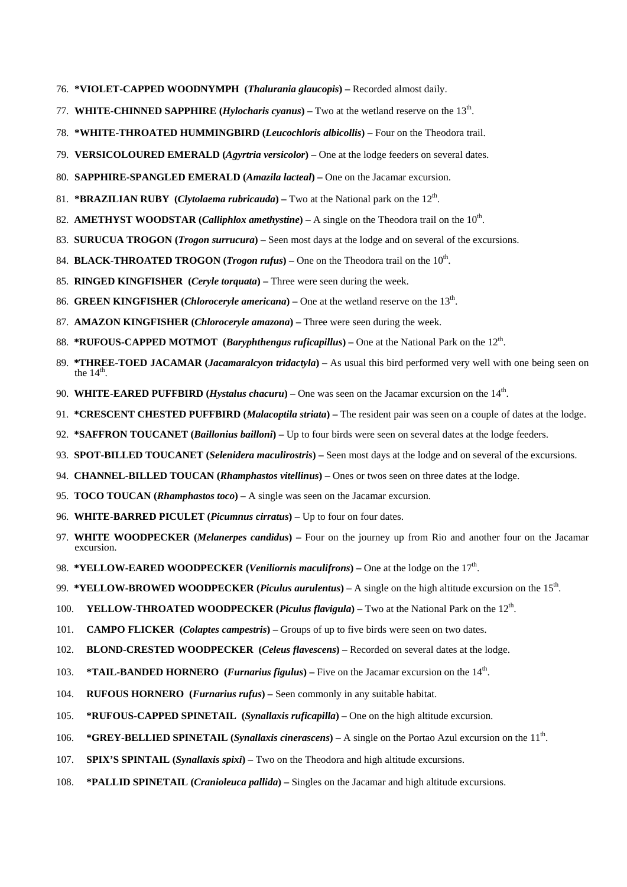- 76. **\*VIOLET-CAPPED WOODNYMPH (***Thalurania glaucopis***)** Recorded almost daily.
- 77. **WHITE-CHINNED SAPPHIRE (***Hylocharis cyanus***)** Two at the wetland reserve on the 13th.
- 78. **\*WHITE-THROATED HUMMINGBIRD (***Leucochloris albicollis***)** Four on the Theodora trail.
- 79. **VERSICOLOURED EMERALD (***Agyrtria versicolor***)** One at the lodge feeders on several dates.
- 80. **SAPPHIRE-SPANGLED EMERALD (***Amazila lacteal***)** One on the Jacamar excursion.
- 81. **\*BRAZILIAN RUBY** (*Clytolaema rubricauda*) Two at the National park on the  $12<sup>th</sup>$ .
- 82. **AMETHYST WOODSTAR** (*Calliphlox amethystine*) A single on the Theodora trail on the  $10^{th}$ .
- 83. **SURUCUA TROGON (***Trogon surrucura***)** Seen most days at the lodge and on several of the excursions.
- 84. **BLACK-THROATED TROGON** (*Trogon rufus*) One on the Theodora trail on the 10<sup>th</sup>.
- 85. **RINGED KINGFISHER (***Ceryle torquata***)** Three were seen during the week.
- 86. **GREEN KINGFISHER** (*Chloroceryle americana*) One at the wetland reserve on the  $13<sup>th</sup>$ .
- 87. **AMAZON KINGFISHER (***Chloroceryle amazona***)** Three were seen during the week.
- 88. **\*RUFOUS-CAPPED MOTMOT** (*Baryphthengus ruficapillus*) One at the National Park on the 12<sup>th</sup>.
- 89. **\*THREE-TOED JACAMAR (***Jacamaralcyon tridactyla***)** As usual this bird performed very well with one being seen on the  $14<sup>th</sup>$ .
- 90. **WHITE-EARED PUFFBIRD (***Hystalus chacuru***)** One was seen on the Jacamar excursion on the 14th.
- 91. **\*CRESCENT CHESTED PUFFBIRD (***Malacoptila striata***)** The resident pair was seen on a couple of dates at the lodge.
- 92. **\*SAFFRON TOUCANET (***Baillonius bailloni***)** Up to four birds were seen on several dates at the lodge feeders.
- 93. **SPOT-BILLED TOUCANET (***Selenidera maculirostris***)** Seen most days at the lodge and on several of the excursions.
- 94. **CHANNEL-BILLED TOUCAN (***Rhamphastos vitellinus***)** Ones or twos seen on three dates at the lodge.
- 95. **TOCO TOUCAN (***Rhamphastos toco***)** A single was seen on the Jacamar excursion.
- 96. **WHITE-BARRED PICULET (***Picumnus cirratus***)** Up to four on four dates.
- 97. **WHITE WOODPECKER (***Melanerpes candidus***)** Four on the journey up from Rio and another four on the Jacamar excursion.
- 98. **\*YELLOW-EARED WOODPECKER** (*Veniliornis maculifrons*) One at the lodge on the 17<sup>th</sup>.
- 99. **\*YELLOW-BROWED WOODPECKER (***Piculus aurulentus***)** A single on the high altitude excursion on the 15<sup>th</sup>.
- 100. **YELLOW-THROATED WOODPECKER (***Piculus flavigula***)** Two at the National Park on the 12th.
- 101. **CAMPO FLICKER (***Colaptes campestris***)** Groups of up to five birds were seen on two dates.
- 102. **BLOND-CRESTED WOODPECKER (***Celeus flavescens***)** Recorded on several dates at the lodge.
- 103. **\*TAIL-BANDED HORNERO (***Furnarius figulus***)** Five on the Jacamar excursion on the 14th.
- 104. **RUFOUS HORNERO (***Furnarius rufus***)** Seen commonly in any suitable habitat.
- 105. **\*RUFOUS-CAPPED SPINETAIL (***Synallaxis ruficapilla***)** One on the high altitude excursion.
- 106. \*GREY-BELLIED SPINETAIL (*Synallaxis cinerascens*) A single on the Portao Azul excursion on the 11<sup>th</sup>.
- 107. **SPIX'S SPINTAIL (***Synallaxis spixi***)** Two on the Theodora and high altitude excursions.
- 108. **\*PALLID SPINETAIL (***Cranioleuca pallida***)** Singles on the Jacamar and high altitude excursions.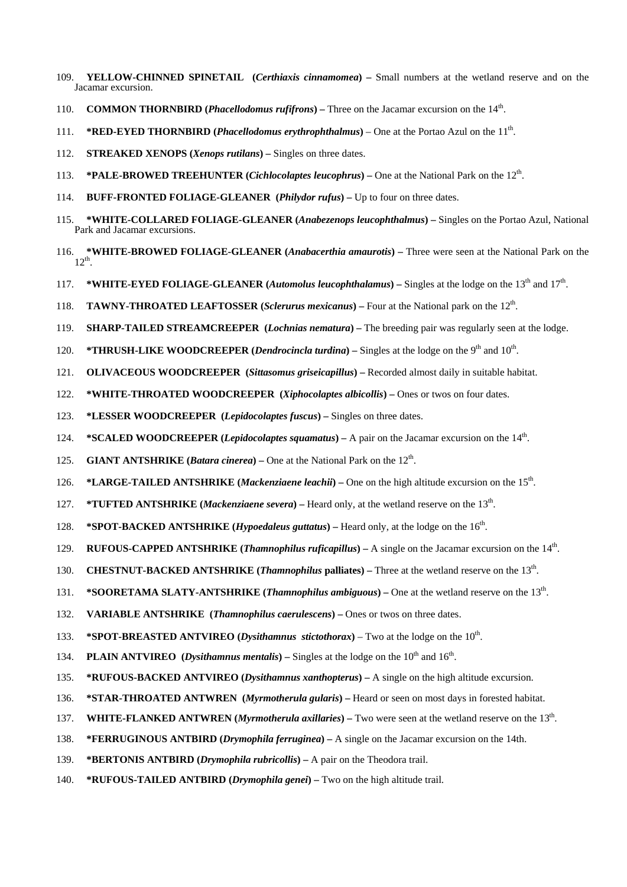- 109. **YELLOW-CHINNED SPINETAIL (***Certhiaxis cinnamomea***)** Small numbers at the wetland reserve and on the Jacamar excursion.
- 110. **COMMON THORNBIRD (***Phacellodomus rufifrons***)** Three on the Jacamar excursion on the 14th.
- 111. **\*RED-EYED THORNBIRD (***Phacellodomus erythrophthalmus***) One at the Portao Azul on the 11<sup>th</sup>.**
- 112. **STREAKED XENOPS (***Xenops rutilans***)** Singles on three dates.
- 113. **\*PALE-BROWED TREEHUNTER (***Cichlocolaptes leucophrus***)** One at the National Park on the 12th.
- 114. **BUFF-FRONTED FOLIAGE-GLEANER (***Philydor rufus***)** Up to four on three dates.
- 115. **\*WHITE-COLLARED FOLIAGE-GLEANER (***Anabezenops leucophthalmus***)** Singles on the Portao Azul, National Park and Jacamar excursions.
- 116. **\*WHITE-BROWED FOLIAGE-GLEANER (***Anabacerthia amaurotis***)** Three were seen at the National Park on the  $12^{th}$
- 117. **\*WHITE-EYED FOLIAGE-GLEANER (***Automolus leucophthalamus***)** Singles at the lodge on the 13th and 17th.
- 118. **TAWNY-THROATED LEAFTOSSER (***Sclerurus mexicanus***)** Four at the National park on the 12th.
- 119. **SHARP-TAILED STREAMCREEPER (***Lochnias nematura***)** The breeding pair was regularly seen at the lodge.
- 120. **\*THRUSH-LIKE WOODCREEPER (***Dendrocincla turdina***)** Singles at the lodge on the 9th and 10th.
- 121. **OLIVACEOUS WOODCREEPER (***Sittasomus griseicapillus***)** Recorded almost daily in suitable habitat.
- 122. **\*WHITE-THROATED WOODCREEPER (***Xiphocolaptes albicollis***)** Ones or twos on four dates.
- 123. **\*LESSER WOODCREEPER (***Lepidocolaptes fuscus***)** Singles on three dates.
- 124. **\*SCALED WOODCREEPER (***Lepidocolaptes squamatus***)** A pair on the Jacamar excursion on the 14th.
- 125. **GIANT ANTSHRIKE (***Batara cinerea*) One at the National Park on the 12<sup>th</sup>.
- 126. **\*LARGE-TAILED ANTSHRIKE (***Mackenziaene leachii***)** One on the high altitude excursion on the 15th.
- 127. **\*TUFTED ANTSHRIKE (***Mackenziaene severa***)** Heard only, at the wetland reserve on the 13th.
- 128. **\*SPOT-BACKED ANTSHRIKE** (*Hypoedaleus guttatus*) Heard only, at the lodge on the 16<sup>th</sup>.
- 129. **RUFOUS-CAPPED ANTSHRIKE (***Thamnophilus ruficapillus***)** A single on the Jacamar excursion on the 14th.
- 130. **CHESTNUT-BACKED ANTSHRIKE (***Thamnophilus* **palliates)** Three at the wetland reserve on the 13th.
- 131. **\*SOORETAMA SLATY-ANTSHRIKE (***Thamnophilus ambiguous***)** One at the wetland reserve on the 13th.
- 132. **VARIABLE ANTSHRIKE (***Thamnophilus caerulescens***)** Ones or twos on three dates.
- 133. **\*SPOT-BREASTED ANTVIREO (***Dysithamnus stictothorax***)** Two at the lodge on the 10th.
- 134. **PLAIN ANTVIREO** (*Dysithamnus mentalis*) Singles at the lodge on the 10<sup>th</sup> and 16<sup>th</sup>.
- 135. **\*RUFOUS-BACKED ANTVIREO (***Dysithamnus xanthopterus***)** A single on the high altitude excursion.
- 136. **\*STAR-THROATED ANTWREN (***Myrmotherula gularis***)** Heard or seen on most days in forested habitat.
- 137. **WHITE-FLANKED ANTWREN (***Myrmotherula axillaries***)** Two were seen at the wetland reserve on the 13th.
- 138. **\*FERRUGINOUS ANTBIRD (***Drymophila ferruginea***)** A single on the Jacamar excursion on the 14th.
- 139. **\*BERTONIS ANTBIRD (***Drymophila rubricollis***)** A pair on the Theodora trail.
- 140. **\*RUFOUS-TAILED ANTBIRD (***Drymophila genei***)** Two on the high altitude trail.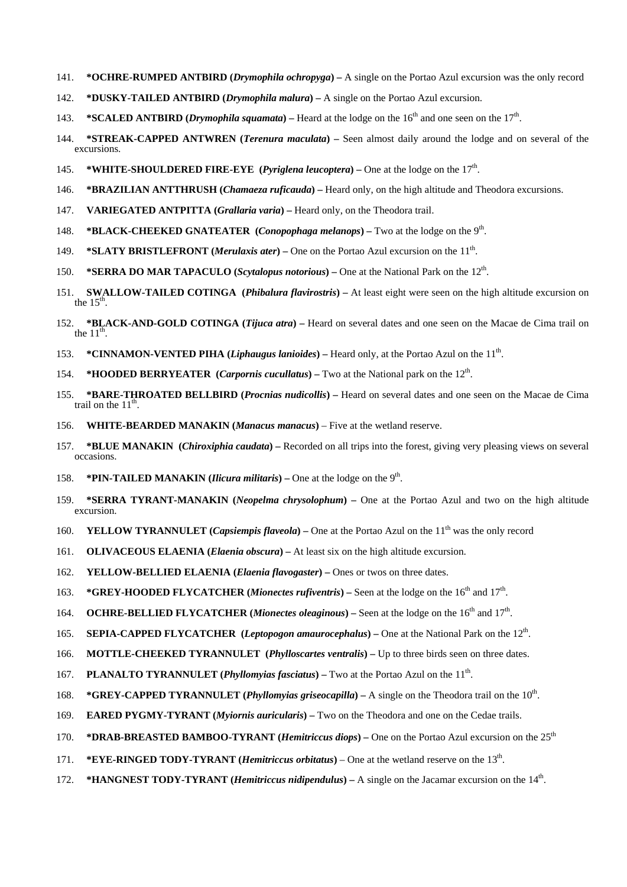- 141. **\*OCHRE-RUMPED ANTBIRD (***Drymophila ochropyga***)** A single on the Portao Azul excursion was the only record
- 142. **\*DUSKY-TAILED ANTBIRD (***Drymophila malura***)** A single on the Portao Azul excursion.
- 143. **\*SCALED ANTBIRD (***Drymophila squamata*) Heard at the lodge on the 16<sup>th</sup> and one seen on the 17<sup>th</sup>.
- 144. **\*STREAK-CAPPED ANTWREN (***Terenura maculata***)** Seen almost daily around the lodge and on several of the excursions.
- 145. **\*WHITE-SHOULDERED FIRE-EYE** (*Pyriglena leucoptera*) One at the lodge on the  $17<sup>th</sup>$ .
- 146. **\*BRAZILIAN ANTTHRUSH (***Chamaeza ruficauda***)** Heard only, on the high altitude and Theodora excursions.
- 147. **VARIEGATED ANTPITTA (***Grallaria varia***)** Heard only, on the Theodora trail.
- 148. **\*BLACK-CHEEKED GNATEATER (***Conopophaga melanops***)** Two at the lodge on the 9th.
- 149. **\*SLATY BRISTLEFRONT (***Merulaxis ater***)** One on the Portao Azul excursion on the 11th.
- 150. **\*SERRA DO MAR TAPACULO (***Scytalopus notorious***)** One at the National Park on the 12th.
- 151. **SWALLOW-TAILED COTINGA (***Phibalura flavirostris***)** At least eight were seen on the high altitude excursion on the  $15<sup>th</sup>$ .
- 152. **\*BLACK-AND-GOLD COTINGA (***Tijuca atra***)** Heard on several dates and one seen on the Macae de Cima trail on the  $11<sup>th</sup>$
- 153. **\*CINNAMON-VENTED PIHA (***Liphaugus lanioides***)** Heard only, at the Portao Azul on the 11th.
- 154. **\*HOODED BERRYEATER (***Carpornis cucullatus***)** Two at the National park on the 12th.
- 155. **\*BARE-THROATED BELLBIRD (***Procnias nudicollis***)** Heard on several dates and one seen on the Macae de Cima trail on the  $11<sup>th</sup>$ .
- 156. **WHITE-BEARDED MANAKIN (***Manacus manacus***)** Five at the wetland reserve.
- 157. **\*BLUE MANAKIN (***Chiroxiphia caudata***)** Recorded on all trips into the forest, giving very pleasing views on several occasions.
- 158. **\*PIN-TAILED MANAKIN (***Ilicura militaris***)** One at the lodge on the 9th.
- 159. **\*SERRA TYRANT-MANAKIN (***Neopelma chrysolophum***)** One at the Portao Azul and two on the high altitude excursion.
- 160. **YELLOW TYRANNULET** (*Capsiempis flaveola*) One at the Portao Azul on the 11<sup>th</sup> was the only record
- 161. **OLIVACEOUS ELAENIA (***Elaenia obscura***)** At least six on the high altitude excursion.
- 162. **YELLOW-BELLIED ELAENIA (***Elaenia flavogaster***)** Ones or twos on three dates.
- 163. **\*GREY-HOODED FLYCATCHER (***Mionectes rufiventris***) Seen at the lodge on the 16<sup>th</sup> and 17<sup>th</sup>.**
- 164. **OCHRE-BELLIED FLYCATCHER (***Mionectes oleaginous***) Seen at the lodge on the 16<sup>th</sup> and 17<sup>th</sup>.**
- 165. **SEPIA-CAPPED FLYCATCHER (***Leptopogon amaurocephalus***)** One at the National Park on the 12th.
- 166. **MOTTLE-CHEEKED TYRANNULET (***Phylloscartes ventralis***)** Up to three birds seen on three dates.
- 167. **PLANALTO TYRANNULET (***Phyllomyias fasciatus***)** Two at the Portao Azul on the 11th.
- 168. \*GREY-CAPPED TYRANNULET (*Phyllomyias griseocapilla*) A single on the Theodora trail on the 10<sup>th</sup>.
- 169. **EARED PYGMY-TYRANT (***Myiornis auricularis***)** Two on the Theodora and one on the Cedae trails.
- 170. **\*DRAB-BREASTED BAMBOO-TYRANT (***Hemitriccus diops***)** One on the Portao Azul excursion on the 25th
- 171. **\*EYE-RINGED TODY-TYRANT** (*Hemitriccus orbitatus*) One at the wetland reserve on the 13<sup>th</sup>.
- 172. **\*HANGNEST TODY-TYRANT (***Hemitriccus nidipendulus***)** A single on the Jacamar excursion on the 14th.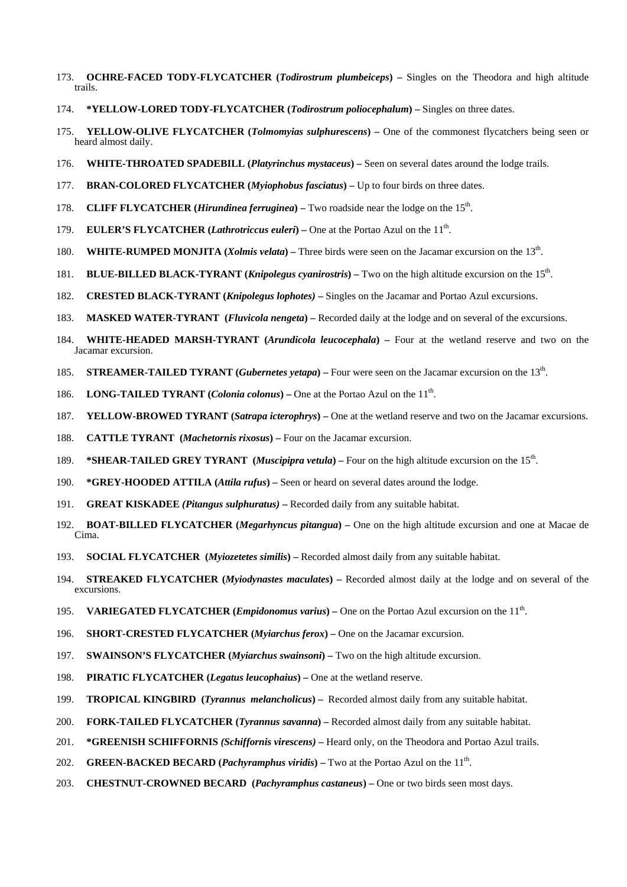- 173. **OCHRE-FACED TODY-FLYCATCHER (***Todirostrum plumbeiceps***)** Singles on the Theodora and high altitude trails.
- 174. **\*YELLOW-LORED TODY-FLYCATCHER (***Todirostrum poliocephalum***)** Singles on three dates.
- 175. **YELLOW-OLIVE FLYCATCHER (***Tolmomyias sulphurescens***)** One of the commonest flycatchers being seen or heard almost daily.
- 176. **WHITE-THROATED SPADEBILL (***Platyrinchus mystaceus***)** Seen on several dates around the lodge trails.
- 177. **BRAN-COLORED FLYCATCHER (***Myiophobus fasciatus***)** Up to four birds on three dates.
- 178. **CLIFF FLYCATCHER (***Hirundinea ferruginea***)** Two roadside near the lodge on the 15th.
- 179. **EULER'S FLYCATCHER (***Lathrotriccus euleri***)** One at the Portao Azul on the 11th.
- 180. **WHITE-RUMPED MONJITA (***Xolmis velata***)** Three birds were seen on the Jacamar excursion on the 13th.
- 181. **BLUE-BILLED BLACK-TYRANT (***Knipolegus cyanirostris***)** Two on the high altitude excursion on the 15th.
- 182. **CRESTED BLACK-TYRANT (***Knipolegus lophotes)*Singles on the Jacamar and Portao Azul excursions.
- 183. **MASKED WATER-TYRANT (***Fluvicola nengeta***)** Recorded daily at the lodge and on several of the excursions.
- 184. **WHITE-HEADED MARSH-TYRANT (***Arundicola leucocephala***)** Four at the wetland reserve and two on the Jacamar excursion.
- 185. **STREAMER-TAILED TYRANT (***Gubernetes yetapa***)** Four were seen on the Jacamar excursion on the 13th.
- 186. **LONG-TAILED TYRANT** (*Colonia colonus*) One at the Portao Azul on the 11<sup>th</sup>.
- 187. **YELLOW-BROWED TYRANT (***Satrapa icterophrys***)** One at the wetland reserve and two on the Jacamar excursions.
- 188. **CATTLE TYRANT (***Machetornis rixosus***)** Four on the Jacamar excursion.
- 189. **\*SHEAR-TAILED GREY TYRANT** (*Muscipipra vetula*) Four on the high altitude excursion on the 15<sup>th</sup>.
- 190. **\*GREY-HOODED ATTILA (***Attila rufus***)** Seen or heard on several dates around the lodge.
- 191. **GREAT KISKADEE** *(Pitangus sulphuratus)*Recorded daily from any suitable habitat.
- 192. **BOAT-BILLED FLYCATCHER (***Megarhyncus pitangua***)** One on the high altitude excursion and one at Macae de Cima.
- 193. **SOCIAL FLYCATCHER (***Myiozetetes similis***)** Recorded almost daily from any suitable habitat.
- 194. **STREAKED FLYCATCHER (***Myiodynastes maculates***)** Recorded almost daily at the lodge and on several of the excursions.
- 195. **VARIEGATED FLYCATCHER (***Empidonomus varius***)** One on the Portao Azul excursion on the 11th.
- 196. **SHORT-CRESTED FLYCATCHER (***Myiarchus ferox***)** One on the Jacamar excursion.
- 197. **SWAINSON'S FLYCATCHER (***Myiarchus swainsoni***)** Two on the high altitude excursion.
- 198. **PIRATIC FLYCATCHER (***Legatus leucophaius***)** One at the wetland reserve.
- 199. **TROPICAL KINGBIRD (***Tyrannus melancholicus***)** Recorded almost daily from any suitable habitat.
- 200. **FORK-TAILED FLYCATCHER (***Tyrannus savanna***)** Recorded almost daily from any suitable habitat.
- 201. **\*GREENISH SCHIFFORNIS** *(Schiffornis virescens)*Heard only, on the Theodora and Portao Azul trails.
- 202. **GREEN-BACKED BECARD (***Pachyramphus viridis*) Two at the Portao Azul on the 11<sup>th</sup>.
- 203. **CHESTNUT-CROWNED BECARD (***Pachyramphus castaneus***)** One or two birds seen most days.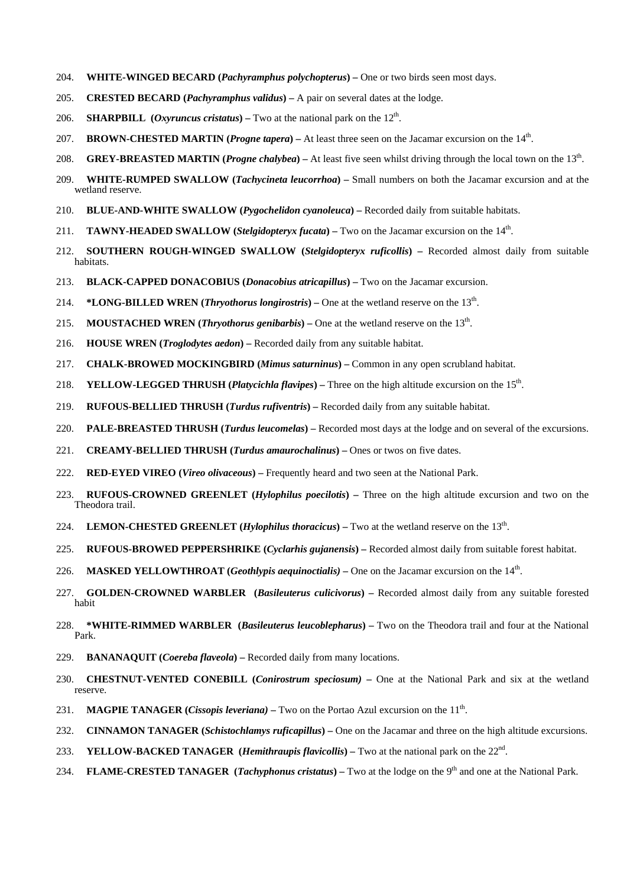- 204. **WHITE-WINGED BECARD (***Pachyramphus polychopterus***)** One or two birds seen most days.
- 205. **CRESTED BECARD (***Pachyramphus validus***)** A pair on several dates at the lodge.
- 206. **SHARPBILL** (*Oxyruncus cristatus*) Two at the national park on the  $12<sup>th</sup>$ .
- 207. **BROWN-CHESTED MARTIN (***Progne tapera***)** At least three seen on the Jacamar excursion on the 14th.
- 208. **GREY-BREASTED MARTIN (***Progne chalybea*) At least five seen whilst driving through the local town on the 13<sup>th</sup>.
- 209. **WHITE-RUMPED SWALLOW (***Tachycineta leucorrhoa***)** Small numbers on both the Jacamar excursion and at the wetland reserve.
- 210. **BLUE-AND-WHITE SWALLOW (***Pygochelidon cyanoleuca***)** Recorded daily from suitable habitats.
- 211. **TAWNY-HEADED SWALLOW (***Stelgidopteryx fucata***)** Two on the Jacamar excursion on the 14th.
- 212. **SOUTHERN ROUGH-WINGED SWALLOW (***Stelgidopteryx ruficollis***)** Recorded almost daily from suitable habitats.
- 213. **BLACK-CAPPED DONACOBIUS (***Donacobius atricapillus***)** Two on the Jacamar excursion.
- 214. **\*LONG-BILLED WREN** (*Thryothorus longirostris*) One at the wetland reserve on the  $13<sup>th</sup>$ .
- 215. **MOUSTACHED WREN** (*Thryothorus genibarbis*) One at the wetland reserve on the  $13<sup>th</sup>$ .
- 216. **HOUSE WREN (***Troglodytes aedon***)** Recorded daily from any suitable habitat.
- 217. **CHALK-BROWED MOCKINGBIRD (***Mimus saturninus***)** Common in any open scrubland habitat.
- 218. **YELLOW-LEGGED THRUSH (***Platycichla flavipes***)** Three on the high altitude excursion on the 15th.
- 219. **RUFOUS-BELLIED THRUSH (***Turdus rufiventris***)** Recorded daily from any suitable habitat.
- 220. **PALE-BREASTED THRUSH (***Turdus leucomelas***)** Recorded most days at the lodge and on several of the excursions.
- 221. **CREAMY-BELLIED THRUSH (***Turdus amaurochalinus***)** Ones or twos on five dates.
- 222. **RED-EYED VIREO (***Vireo olivaceous***)** Frequently heard and two seen at the National Park.
- 223. **RUFOUS-CROWNED GREENLET (***Hylophilus poecilotis***)** Three on the high altitude excursion and two on the Theodora trail.
- 224. **LEMON-CHESTED GREENLET (***Hylophilus thoracicus***)** Two at the wetland reserve on the 13th.
- 225. **RUFOUS-BROWED PEPPERSHRIKE (***Cyclarhis gujanensis***)** Recorded almost daily from suitable forest habitat.
- 226. **MASKED YELLOWTHROAT (***Geothlypis aequinoctialis)* One on the Jacamar excursion on the 14th.
- 227. **GOLDEN-CROWNED WARBLER (***Basileuterus culicivorus***)** Recorded almost daily from any suitable forested habit
- 228. **\*WHITE-RIMMED WARBLER (***Basileuterus leucoblepharus***)** Two on the Theodora trail and four at the National Park.
- 229. **BANANAQUIT (***Coereba flaveola***)** Recorded daily from many locations.
- 230. **CHESTNUT-VENTED CONEBILL (***Conirostrum speciosum)*One at the National Park and six at the wetland reserve.
- 231. **MAGPIE TANAGER (***Cissopis leveriana*) Two on the Portao Azul excursion on the 11<sup>th</sup>.
- 232. **CINNAMON TANAGER (***Schistochlamys ruficapillus***)** One on the Jacamar and three on the high altitude excursions.
- 233. **YELLOW-BACKED TANAGER (***Hemithraupis flavicollis***)** Two at the national park on the 22nd.
- 234. **FLAME-CRESTED TANAGER** (*Tachyphonus cristatus*) Two at the lodge on the 9<sup>th</sup> and one at the National Park.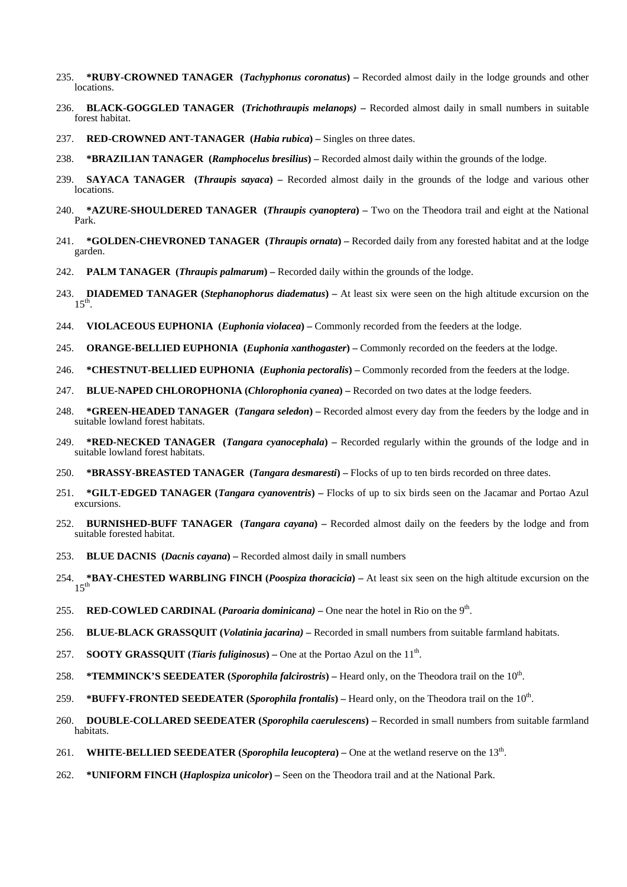- 235. **\*RUBY-CROWNED TANAGER (***Tachyphonus coronatus***)** Recorded almost daily in the lodge grounds and other locations.
- 236. **BLACK-GOGGLED TANAGER (***Trichothraupis melanops)*Recorded almost daily in small numbers in suitable forest habitat.
- 237. **RED-CROWNED ANT-TANAGER (***Habia rubica***)** Singles on three dates.
- 238. **\*BRAZILIAN TANAGER (***Ramphocelus bresilius***)** Recorded almost daily within the grounds of the lodge.
- 239. **SAYACA TANAGER (***Thraupis sayaca***)** Recorded almost daily in the grounds of the lodge and various other locations.
- 240. **\*AZURE-SHOULDERED TANAGER (***Thraupis cyanoptera***)** Two on the Theodora trail and eight at the National Park.
- 241. **\*GOLDEN-CHEVRONED TANAGER (***Thraupis ornata***)** Recorded daily from any forested habitat and at the lodge garden.
- 242. **PALM TANAGER (***Thraupis palmarum***)** Recorded daily within the grounds of the lodge.
- 243. **DIADEMED TANAGER (***Stephanophorus diadematus***)** At least six were seen on the high altitude excursion on the  $15^{t}$
- 244. **VIOLACEOUS EUPHONIA (***Euphonia violacea***)** Commonly recorded from the feeders at the lodge.
- 245. **ORANGE-BELLIED EUPHONIA (***Euphonia xanthogaster***)** Commonly recorded on the feeders at the lodge.
- 246. **\*CHESTNUT-BELLIED EUPHONIA (***Euphonia pectoralis***)** Commonly recorded from the feeders at the lodge.
- 247. **BLUE-NAPED CHLOROPHONIA (***Chlorophonia cyanea***)** Recorded on two dates at the lodge feeders.
- 248. **\*GREEN-HEADED TANAGER (***Tangara seledon***)** Recorded almost every day from the feeders by the lodge and in suitable lowland forest habitats.
- 249. **\*RED-NECKED TANAGER (***Tangara cyanocephala***)** Recorded regularly within the grounds of the lodge and in suitable lowland forest habitats.
- 250. **\*BRASSY-BREASTED TANAGER (***Tangara desmaresti***)** Flocks of up to ten birds recorded on three dates.
- 251. **\*GILT-EDGED TANAGER (***Tangara cyanoventris***)** Flocks of up to six birds seen on the Jacamar and Portao Azul excursions.
- 252. **BURNISHED-BUFF TANAGER (***Tangara cayana***)** Recorded almost daily on the feeders by the lodge and from suitable forested habitat.
- 253. **BLUE DACNIS (***Dacnis cayana***)** Recorded almost daily in small numbers
- 254. **\*BAY-CHESTED WARBLING FINCH (***Poospiza thoracicia***)** At least six seen on the high altitude excursion on the  $15^{th}$
- 255. **RED-COWLED CARDINAL (***Paroaria dominicana)*One near the hotel in Rio on the 9th.
- 256. **BLUE-BLACK GRASSQUIT (***Volatinia jacarina)*Recorded in small numbers from suitable farmland habitats.
- 257. **SOOTY GRASSQUIT** (*Tiaris fuliginosus*) One at the Portao Azul on the 11<sup>th</sup>.
- 258. **\*TEMMINCK'S SEEDEATER** (*Sporophila falcirostris*) Heard only, on the Theodora trail on the 10<sup>th</sup>.
- 259. **\*BUFFY-FRONTED SEEDEATER (***Sporophila frontalis***)** Heard only, on the Theodora trail on the 10th.
- 260. **DOUBLE-COLLARED SEEDEATER (***Sporophila caerulescens***)** Recorded in small numbers from suitable farmland habitats.
- 261. **WHITE-BELLIED SEEDEATER** (*Sporophila leucoptera*) One at the wetland reserve on the 13<sup>th</sup>.
- 262. **\*UNIFORM FINCH (***Haplospiza unicolor***)** Seen on the Theodora trail and at the National Park.